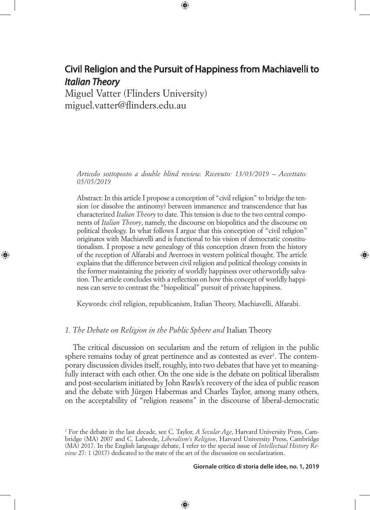⊕

Miguel Vatter (Flinders University) miguel.vatter@flinders.edu.au

◈

*Articolo sottoposto a double blind review. Ricevuto: 13/03/2019 – Accettato: 05/05/2019*

Abstract: In this article I propose a conception of "civil religion" to bridge the tension (or dissolve the antinomy) between immanence and transcendence that has characterized *Italian Theory* to date. This tension is due to the two central components of *Italian Theory*, namely, the discourse on biopolitics and the discourse on political theology. In what follows I argue that this conception of "civil religion" originates with Machiavelli and is functional to his vision of democratic constitutionalism. I propose a new genealogy of this conception drawn from the history of the reception of Alfarabi and Averroes in western political thought. The article explains that the difference between civil religion and political theology consists in the former maintaining the priority of worldly happiness over otherworldly salvation. The article concludes with a reflection on how this concept of worldly happiness can serve to contrast the "biopolitical" pursuit of private happiness.

Keywords: civil religion, republicanism, Italian Theory, Machiavelli, Alfarabi.

## *1. The Debate on Religion in the Public Sphere and* Italian Theory

The critical discussion on secularism and the return of religion in the public sphere remains today of great pertinence and as contested as ever<sup>1</sup>. The contemporary discussion divides itself, roughly, into two debates that have yet to meaningfully interact with each other. On the one side is the debate on political liberalism and post-secularism initiated by John Rawls's recovery of the idea of public reason and the debate with Jürgen Habermas and Charles Taylor, among many others, on the acceptability of "religion reasons" in the discourse of liberal-democratic

⊕

#### **Giornale critico di storia delle idee, no. 1, 2019**

<sup>1</sup> For the debate in the last decade, see C. Taylor, *A Secular Age*, Harvard University Press, Cambridge (MA) 2007 and C. Laborde, *Liberalism's Religion*, Harvard University Press, Cambridge (MA) 2017. In the English language debate, I refer to the special issue of *Intellectual History Review* 27: 1 (2017) dedicated to the state of the art of the discussion on secularization.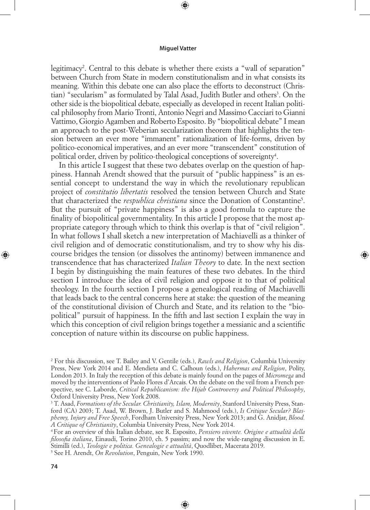⊕

legitimacy2 . Central to this debate is whether there exists a "wall of separation" between Church from State in modern constitutionalism and in what consists its meaning. Within this debate one can also place the efforts to deconstruct (Christian) "secularism" as formulated by Talal Asad, Judith Butler and others<sup>3</sup>. On the other side is the biopolitical debate, especially as developed in recent Italian political philosophy from Mario Tronti, Antonio Negri and Massimo Cacciari to Gianni Vattimo, Giorgio Agamben and Roberto Esposito. By "biopolitical debate" I mean an approach to the post-Weberian secularization theorem that highlights the tension between an ever more "immanent" rationalization of life-forms, driven by politico-economical imperatives, and an ever more "transcendent" constitution of political order, driven by politico-theological conceptions of sovereignty<sup>4</sup>.

In this article I suggest that these two debates overlap on the question of happiness. Hannah Arendt showed that the pursuit of "public happiness" is an essential concept to understand the way in which the revolutionary republican project of *constitutio libertatis* resolved the tension between Church and State that characterized the *respublica christiana* since the Donation of Constantine<sup>5</sup>. But the pursuit of "private happiness" is also a good formula to capture the finality of biopolitical governmentality. In this article I propose that the most appropriate category through which to think this overlap is that of "civil religion". In what follows I shall sketch a new interpretation of Machiavelli as a thinker of civil religion and of democratic constitutionalism, and try to show why his discourse bridges the tension (or dissolves the antinomy) between immanence and transcendence that has characterized *Italian Theory* to date. In the next section I begin by distinguishing the main features of these two debates. In the third section I introduce the idea of civil religion and oppose it to that of political theology. In the fourth section I propose a genealogical reading of Machiavelli that leads back to the central concerns here at stake: the question of the meaning of the constitutional division of Church and State, and its relation to the "biopolitical" pursuit of happiness. In the fifth and last section I explain the way in which this conception of civil religion brings together a messianic and a scientific conception of nature within its discourse on public happiness.

◈

⊕

<sup>2</sup> For this discussion, see T. Bailey and V. Gentile (eds.), *Rawls and Religion*, Columbia University Press, New York 2014 and E. Mendieta and C. Calhoun (eds.), *Habermas and Religion*, Polity, London 2013. In Italy the reception of this debate is mainly found on the pages of *Micromega* and moved by the interventions of Paolo Flores d'Arcais. On the debate on the veil from a French perspective, see C. Laborde, *Critical Republicanism: the Hijab Controversy and Political Philosophy*, Oxford University Press, New York 2008.

<sup>3</sup> T. Asad, *Formations of the Secular. Christianity, Islam, Modernity*, Stanford University Press, Stanford (CA) 2003; T. Asad, W. Brown, J. Butler and S. Mahmood (eds.), *Is Critique Secular? Blasphemy, Injury and Free Speech*, Fordham University Press, New York 2013; and G. Anidjar, *Blood.* 

*A Critique of Christianity*, Columbia University Press, New York 2014. 4 For an overview of this Italian debate, see R. Esposito, *Pensiero vivente. Origine e attualità della filosofia italiana*, Einaudi, Torino 2010, ch. 5 passim; and now the wide-ranging discussion in E. Stimilli (ed.), *Teologie e politica. Genealogie e attualità*, Quodlibet, Macerata 2019.

<sup>5</sup> See H. Arendt, *On Revolution*, Penguin, New York 1990.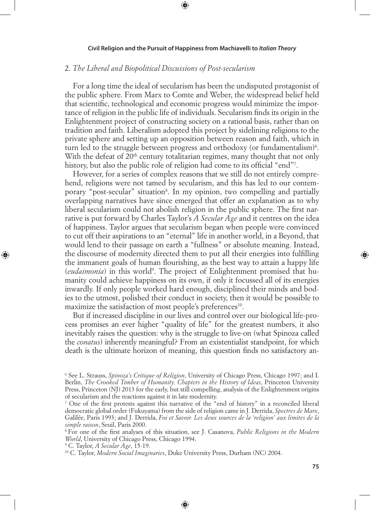⊕

# 2. *The Liberal and Biopolitical Discussions of Post-secularism*

For a long time the ideal of secularism has been the undisputed protagonist of the public sphere. From Marx to Comte and Weber, the widespread belief held that scientific, technological and economic progress would minimize the importance of religion in the public life of individuals. Secularism finds its origin in the Enlightenment project of constructing society on a rational basis, rather than on tradition and faith. Liberalism adopted this project by sidelining religions to the private sphere and setting up an opposition between reason and faith, which in turn led to the struggle between progress and orthodoxy (or fundamentalism) $6$ . With the defeat of 20<sup>th</sup> century totalitarian regimes, many thought that not only history, but also the public role of religion had come to its official "end"7 .

However, for a series of complex reasons that we still do not entirely comprehend, religions were not tamed by secularism, and this has led to our contemporary "post-secular" situation<sup>8</sup>. In my opinion, two compelling and partially overlapping narratives have since emerged that offer an explanation as to why liberal secularism could not abolish religion in the public sphere. The first narrative is put forward by Charles Taylor's *A Secular Age* and it centres on the idea of happiness. Taylor argues that secularism began when people were convinced to cut off their aspirations to an "eternal" life in another world, in a Beyond, that would lend to their passage on earth a "fullness" or absolute meaning. Instead, the discourse of modernity directed them to put all their energies into fulfilling the immanent goals of human flourishing, as the best way to attain a happy life (eudaimonia) in this world<sup>9</sup>. The project of Enlightenment promised that humanity could achieve happiness on its own, if only it focussed all of its energies inwardly. If only people worked hard enough, disciplined their minds and bodies to the utmost, polished their conduct in society, then it would be possible to maximize the satisfaction of most people's preferences<sup>10</sup>.

But if increased discipline in our lives and control over our biological life-process promises an ever higher "quality of life" for the greatest numbers, it also inevitably raises the question: why is the struggle to live-on (what Spinoza called the *conatus*) inherently meaningful? From an existentialist standpoint, for which death is the ultimate horizon of meaning, this question finds no satisfactory an-

⊕

◈

<sup>6</sup> See L. Strauss, *Spinoza's Critique of Religion*, University of Chicago Press, Chicago 1997; and I. Berlin, *The Crooked Timber of Humanity. Chapters in the History of Ideas*, Princeton University Press, Princeton (NJ) 2013 for the early, but still compelling, analysis of the Enlightenment origins of secularism and the reactions against it in late modernity.

<sup>7</sup> One of the first protests against this narrative of the "end of history" in a reconciled liberal democratic global order (Fukuyama) from the side of religion came in J. Derrida, *Spectres de Marx*, Galilée, Paris 1993; and J. Derrida, *Foi et Savoir. Les deux sources de la 'religion' aux limites de la simple raison*, Seuil, Paris 2000.

<sup>8</sup> For one of the first analyses of this situation, see J. Casanova, *Public Religions in the Modern World*, University of Chicago Press, Chicago 1994.<br><sup>9</sup> C. Taylor, *A Secular Age*, 15-19.

<sup>&</sup>lt;sup>10</sup> C. Taylor, *Modern Social Imaginaries*, Duke University Press, Durham (NC) 2004.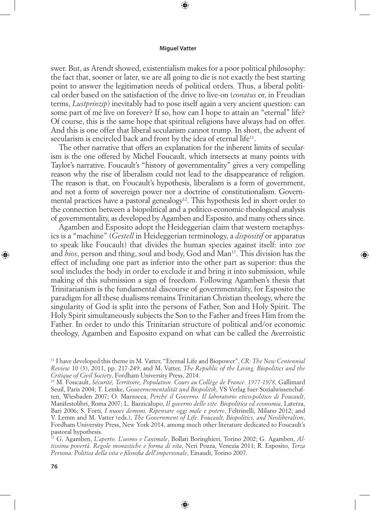⊕

swer. But, as Arendt showed, existentialism makes for a poor political philosophy: the fact that, sooner or later, we are all going to die is not exactly the best starting point to answer the legitimation needs of political orders. Thus, a liberal political order based on the satisfaction of the drive to live-on (*conatus* or, in Freudian terms, *Lustprinzip*) inevitably had to pose itself again a very ancient question: can some part of me live on forever? If so, how can I hope to attain an "eternal" life? Of course, this is the same hope that spiritual religions have always had on offer. And this is one offer that liberal secularism cannot trump. In short, the advent of secularism is encircled back and front by the idea of eternal life<sup>11</sup>.

The other narrative that offers an explanation for the inherent limits of secularism is the one offered by Michel Foucault, which intersects at many points with Taylor's narrative. Foucault's "history of governmentality" gives a very compelling reason why the rise of liberalism could not lead to the disappearance of religion. The reason is that, on Foucault's hypothesis, liberalism is a form of government, and not a form of sovereign power nor a doctrine of constitutionalism. Governmental practices have a pastoral genealogy<sup>12</sup>. This hypothesis led in short order to the connection between a biopolitical and a politico-economic-theological analysis of governmentality, as developed by Agamben and Esposito, and many others since.

Agamben and Esposito adopt the Heideggerian claim that western metaphysics is a "machine" (*Gestell* in Heideggerian terminology, a *dispositif* or apparatus to speak like Foucault) that divides the human species against itself: into *zoe*  and *bios*, person and thing, soul and body, God and Man<sup>13</sup>. This division has the effect of including one part as inferior into the other part as superior: thus the soul includes the body in order to exclude it and bring it into submission, while making of this submission a sign of freedom. Following Agamben's thesis that Trinitarianism is the fundamental discourse of governmentality, for Esposito the paradigm for all these dualisms remains Trinitarian Christian theology, where the singularity of God is split into the persons of Father, Son and Holy Spirit. The Holy Spirit simultaneously subjects the Son to the Father and frees Him from the Father. In order to undo this Trinitarian structure of political and/or economic theology, Agamben and Esposito expand on what can be called the Averroistic

◈

13 G. Agamben, *L'aperto. L'uomo e l'animale*, Bollati Boringhieri, Torino 2002; G. Agamben, *Altissima povertà. Regole monastiche e forma di vita*, Neri Pozza, Venezia 2011; R. Esposito, *Terza Persona. Politica della vita e filosofia dell'impersonale*, Einaudi, Torino 2007.

⊕

<sup>11</sup> I have developed this theme in M. Vatter, "Eternal Life and Biopower", *CR: The New Centennial Review* 10 (3), 2011, pp. 217-249; and M. Vatter, *The Republic of the Living. Biopolitics and the Critique of Civil Society*, Fordham University Press, 2014.

<sup>12</sup> M. Foucault, *Sécurité, Territoire, Population. Cours au Collège de France. 1977-1978*, Gallimard Seuil, Paris 2004; T. Lemke, *Gouvernementalität und Biopolitik*, VS Verlag fuer Sozialwissenchaften, Wiesbaden 2007; O. Marzocca, *Perché il Governo. Il laboratorio etico-politico di Foucault*, Manifestolibri, Roma 2007; L. Bazzicalupo, *Il governo delle vite. Biopolitica ed economia*, Laterza, Bari 2006; S. Forti, *I nuovi demoni. Ripensare oggi male e potere*, Feltrinelli, Milano 2012; and V. Lemm and M. Vatter (eds.), *The Government of Life. Foucault, Biopolitics, and Neoliberalism*, Fordham University Press, New York 2014, among much other literature dedicated to Foucault's pastoral hypothesis.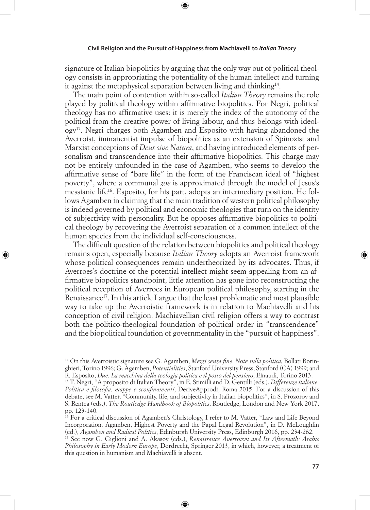⊕

signature of Italian biopolitics by arguing that the only way out of political theology consists in appropriating the potentiality of the human intellect and turning it against the metaphysical separation between living and thinking<sup>14</sup>.

The main point of contention within so-called *Italian Theory* remains the role played by political theology within affirmative biopolitics. For Negri, political theology has no affirmative uses: it is merely the index of the autonomy of the political from the creative power of living labour, and thus belongs with ideology15. Negri charges both Agamben and Esposito with having abandoned the Averroist, immanentist impulse of biopolitics as an extension of Spinozist and Marxist conceptions of *Deus sive Natura*, and having introduced elements of personalism and transcendence into their affirmative biopolitics. This charge may not be entirely unfounded in the case of Agamben, who seems to develop the affirmative sense of "bare life" in the form of the Franciscan ideal of "highest poverty", where a communal *zoe* is approximated through the model of Jesus's messianic life16. Esposito, for his part, adopts an intermediary position. He follows Agamben in claiming that the main tradition of western political philosophy is indeed governed by political and economic theologies that turn on the identity of subjectivity with personality. But he opposes affirmative biopolitics to political theology by recovering the Averroist separation of a common intellect of the human species from the individual self-consciousness.

The difficult question of the relation between biopolitics and political theology remains open, especially because *Italian Theory* adopts an Averroist framework whose political consequences remain undertheorized by its advocates. Thus, if Averroes's doctrine of the potential intellect might seem appealing from an affirmative biopolitics standpoint, little attention has gone into reconstructing the political reception of Averroes in European political philosophy, starting in the Renaissance<sup>17</sup>. In this article I argue that the least problematic and most plausible way to take up the Averroistic framework is in relation to Machiavelli and his conception of civil religion. Machiavellian civil religion offers a way to contrast both the politico-theological foundation of political order in "transcendence" and the biopolitical foundation of governmentality in the "pursuit of happiness".

◈

⊕

<sup>14</sup> On this Averroistic signature see G. Agamben, *Mezzi senza fine. Note sulla politica*, Bollati Boringhieri, Torino 1996; G. Agamben, *Potentialities*, Stanford University Press, Stanford (CA) 1999; and R. Esposito, *Due. La macchina della teologia politica e il posto del pensiero*, Einaudi, Torino 2013.

<sup>15</sup> T. Negri, "A proposito di Italian Theory", in E. Stimilli and D. Gentilli (eds.), *Differenze italiane. Politica e filosofia: mappe e sconfinamenti*, DeriveApprodi, Roma 2015. For a discussion of this debate, see M. Vatter, "Community. life, and subjectivity in Italian biopolitics", in S. Prozorov and S. Rentea (eds.), *The Routledge Handbook of Biopolitics*, Routledge, London and New York 2017, pp. 123-140.

<sup>&</sup>lt;sup>16</sup> For a critical discussion of Agamben's Christology, I refer to M. Vatter, "Law and Life Beyond Incorporation. Agamben, Highest Poverty and the Papal Legal Revolution", in D. McLoughlin (ed.), *Agamben and Radical Politics*, Edinburgh University Press, Edinburgh 2016, pp. 234-262. 17 See now G. Giglioni and A. Akasoy (eds.), *Renaissance Averroism and Its Aftermath: Arabic* 

*Philosophy in Early Modern Europe*, Dordrecht, Springer 2013, in which, however, a treatment of this question in humanism and Machiavelli is absent.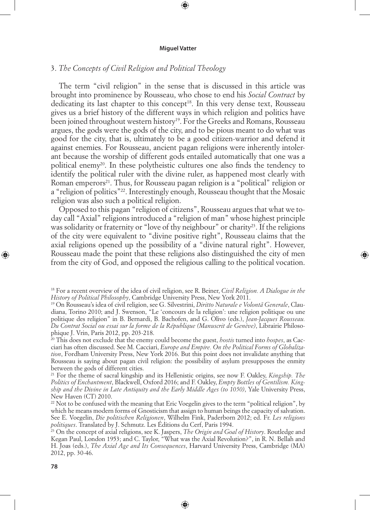⊕

# 3. *The Concepts of Civil Religion and Political Theology*

The term "civil religion" in the sense that is discussed in this article was brought into prominence by Rousseau, who chose to end his *Social Contract* by dedicating its last chapter to this concept<sup>18</sup>. In this very dense text, Rousseau gives us a brief history of the different ways in which religion and politics have been joined throughout western history<sup>19</sup>. For the Greeks and Romans, Rousseau argues, the gods were the gods of the city, and to be pious meant to do what was good for the city, that is, ultimately to be a good citizen-warrior and defend it against enemies. For Rousseau, ancient pagan religions were inherently intolerant because the worship of different gods entailed automatically that one was a political enemy<sup>20</sup>. In these polytheistic cultures one also finds the tendency to identify the political ruler with the divine ruler, as happened most clearly with Roman emperors<sup>21</sup>. Thus, for Rousseau pagan religion is a "political" religion or a "religion of politics"22. Interestingly enough, Rousseau thought that the Mosaic religion was also such a political religion.

Opposed to this pagan "religion of citizens", Rousseau argues that what we today call "Axial" religions introduced a "religion of man" whose highest principle was solidarity or fraternity or "love of thy neighbour" or charity<sup>23</sup>. If the religions of the city were equivalent to "divine positive right", Rousseau claims that the axial religions opened up the possibility of a "divine natural right". However, Rousseau made the point that these religions also distinguished the city of men from the city of God, and opposed the religious calling to the political vocation.

◈

21 For the theme of sacral kingship and its Hellenistic origins, see now F. Oakley, *Kingship. The Politics of Enchantment*, Blackwell, Oxford 2016; and F. Oakley, *Empty Bottles of Gentilism. Kingship and the Divine in Late Antiquity and the Early Middle Ages (to 1050)*, Yale University Press, New Haven (CT) 2010.

<sup>22</sup> Not to be confused with the meaning that Eric Voegelin gives to the term "political religion", by which he means modern forms of Gnosticism that assign to human beings the capacity of salvation. See E. Voegelin, *Die politischen Religionen*, Wilhelm Fink, Paderborn 2012; ed. Fr. *Les religions politiques*. Translated by J. Schmutz. Les Éditions du Cerf, Paris 1994.

23 On the concept of axial religions, see K. Jaspers, *The Origin and Goal of History*. Routledge and Kegan Paul, London 1953; and C. Taylor, "What was the Axial Revolution?", in R. N. Bellah and H. Joas (eds.), *The Axial Age and Its Consequences*, Harvard University Press, Cambridge (MA) 2012, pp. 30-46.

⊕

<sup>18</sup> For a recent overview of the idea of civil religion, see R. Beiner, *Civil Religion. A Dialogue in the History of Political Philosophy*, Cambridge University Press, New York 2011.

<sup>19</sup> On Rousseau's idea of civil religion, see G. Silvestrini, *Diritto Naturale e Volontã Generale*, Claudiana, Torino 2010; and J. Swenson, "Le 'concours de la religion': une religion politique ou une politique des religion" in B. Bernardi, B. Bachofen, and G. Olivo (eds.), *Jean-Jacques Rousseau. Du Contrat Social ou essai sur la forme de la République (Manuscrit de Genève)*, Librairie Philosophique J. Vrin, Paris 2012, pp. 203-218.

<sup>20</sup> This does not exclude that the enemy could become the guest, *hostis* turned into *hospes*, as Cacciari has often discussed. See M. Cacciari, *Europe and Empire. On the Political Forms of Globalization*, Fordham University Press, New York 2016. But this point does not invalidate anything that Rousseau is saying about pagan civil religion: the possibility of asylum presupposes the enmity between the gods of different cities.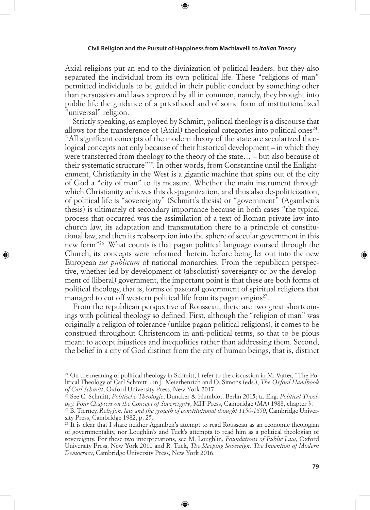⊕

Axial religions put an end to the divinization of political leaders, but they also separated the individual from its own political life. These "religions of man" permitted individuals to be guided in their public conduct by something other than persuasion and laws approved by all in common, namely, they brought into public life the guidance of a priesthood and of some form of institutionalized "universal" religion.

Strictly speaking, as employed by Schmitt, political theology is a discourse that allows for the transference of  $(Axial)$  theological categories into political ones<sup>24</sup>. "All significant concepts of the modern theory of the state are secularized theological concepts not only because of their historical development – in which they were transferred from theology to the theory of the state… – but also because of their systematic structure"25. In other words, from Constantine until the Enlightenment, Christianity in the West is a gigantic machine that spins out of the city of God a "city of man" to its measure. Whether the main instrument through which Christianity achieves this de-paganization, and thus also de-politicization, of political life is "sovereignty" (Schmitt's thesis) or "government" (Agamben's thesis) is ultimately of secondary importance because in both cases "the typical process that occurred was the assimilation of a text of Roman private law into church law, its adaptation and transmutation there to a principle of constitutional law, and then its reabsorption into the sphere of secular government in this new form"26. What counts is that pagan political language coursed through the Church, its concepts were reformed therein, before being let out into the new European *ius publicum* of national monarchies. From the republican perspective, whether led by development of (absolutist) sovereignty or by the development of (liberal) government, the important point is that these are both forms of political theology, that is, forms of pastoral government of spiritual religions that managed to cut off western political life from its pagan origins<sup>27</sup>.

◈

From the republican perspective of Rousseau, there are two great shortcomings with political theology so defined. First, although the "religion of man" was originally a religion of tolerance (unlike pagan political religions), it comes to be construed throughout Christendom in anti-political terms, so that to be pious meant to accept injustices and inequalities rather than addressing them. Second, the belief in a city of God distinct from the city of human beings, that is, distinct

⊕

<sup>&</sup>lt;sup>24</sup> On the meaning of political theology in Schmitt, I refer to the discussion in M. Vatter, "The Political Theology of Carl Schmitt", in J. Meierhenrich and O. Simons (eds.), *The Oxford Handbook of Carl Schmitt*, Oxford University Press, New York 2017.

<sup>25</sup> See C. Schmitt, *Politische Theologie*, Duncker & Humblot, Berlin 2015; tr. Eng. *Political Theology. Four Chapters on the Concept of Sovereignty*, MIT Press, Cambridge (MA) 1988, chapter 3.

<sup>26</sup> B. Tierney, *Religion, law and the growth of constitutional thought 1150-1650*, Cambridge University Press, Cambridge 1982, p. 25.

 $^{27}$  It is clear that I share neither Agamben's attempt to read Rousseau as an economic theologian of governmentality, nor Loughlin's and Tuck's attempts to read him as a political theologian of sovereignty. For these two interpretations, see M. Loughlin, *Foundations of Public Law*, Oxford University Press, New York 2010 and R. Tuck, *The Sleeping Sovereign. The Invention of Modern Democracy*, Cambridge University Press, New York 2016.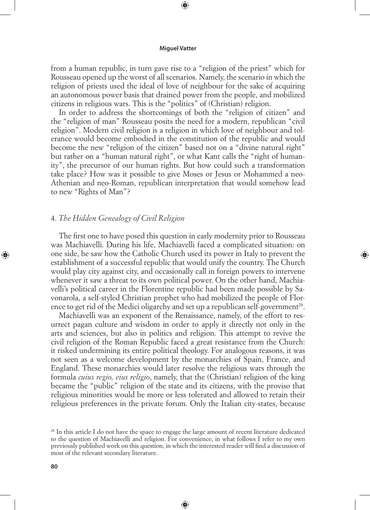⊕

from a human republic, in turn gave rise to a "religion of the priest" which for Rousseau opened up the worst of all scenarios. Namely, the scenario in which the religion of priests used the ideal of love of neighbour for the sake of acquiring an autonomous power basis that drained power from the people, and mobilized citizens in religious wars. This is the "politics" of (Christian) religion.

In order to address the shortcomings of both the "religion of citizen" and the "religion of man" Rousseau posits the need for a modern, republican "civil religion". Modern civil religion is a religion in which love of neighbour and tolerance would become embodied in the constitution of the republic and would become the new "religion of the citizen" based not on a "divine natural right" but rather on a "human natural right", or what Kant calls the "right of humanity", the precursor of our human rights. But how could such a transformation take place? How was it possible to give Moses or Jesus or Mohammed a neo-Athenian and neo-Roman, republican interpretation that would somehow lead to new "Rights of Man"?

# 4. *The Hidden Genealogy of Civil Religion*

The first one to have posed this question in early modernity prior to Rousseau was Machiavelli. During his life, Machiavelli faced a complicated situation: on one side, he saw how the Catholic Church used its power in Italy to prevent the establishment of a successful republic that would unify the country. The Church would play city against city, and occasionally call in foreign powers to intervene whenever it saw a threat to its own political power. On the other hand, Machiavelli's political career in the Florentine republic had been made possible by Savonarola, a self-styled Christian prophet who had mobilized the people of Florence to get rid of the Medici oligarchy and set up a republican self-government<sup>28</sup>.

◈

Machiavelli was an exponent of the Renaissance, namely, of the effort to resurrect pagan culture and wisdom in order to apply it directly not only in the arts and sciences, but also in politics and religion. This attempt to revive the civil religion of the Roman Republic faced a great resistance from the Church: it risked undermining its entire political theology. For analogous reasons, it was not seen as a welcome development by the monarchies of Spain, France, and England. These monarchies would later resolve the religious wars through the formula *cuius regio, eius religio*, namely, that the (Christian) religion of the king became the "public" religion of the state and its citizens, with the proviso that religious minorities would be more or less tolerated and allowed to retain their religious preferences in the private forum. Only the Italian city-states, because

 $\bigoplus$ 

<sup>&</sup>lt;sup>28</sup> In this article I do not have the space to engage the large amount of recent literature dedicated to the question of Machiavelli and religion. For convenience, in what follows I refer to my own previously published work on this question, in which the interested reader will find a discussion of most of the relevant secondary literature.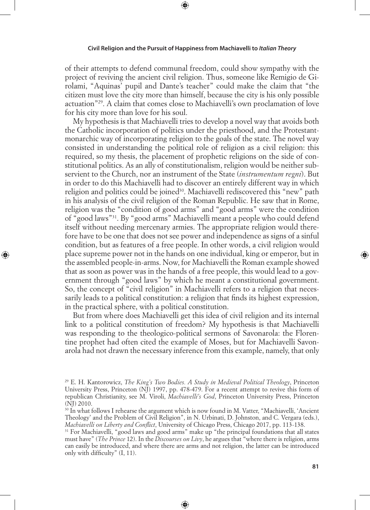⊕

of their attempts to defend communal freedom, could show sympathy with the project of reviving the ancient civil religion. Thus, someone like Remigio de Girolami, "Aquinas' pupil and Dante's teacher" could make the claim that "the citizen must love the city more than himself, because the city is his only possible actuation"29. A claim that comes close to Machiavelli's own proclamation of love for his city more than love for his soul.

My hypothesis is that Machiavelli tries to develop a novel way that avoids both the Catholic incorporation of politics under the priesthood, and the Protestantmonarchic way of incorporating religion to the goals of the state. The novel way consisted in understanding the political role of religion as a civil religion: this required, so my thesis, the placement of prophetic religions on the side of constitutional politics. As an ally of constitutionalism, religion would be neither subservient to the Church, nor an instrument of the State (*instrumentum regni*). But in order to do this Machiavelli had to discover an entirely different way in which religion and politics could be joined<sup>30</sup>. Machiavelli rediscovered this "new" path in his analysis of the civil religion of the Roman Republic. He saw that in Rome, religion was the "condition of good arms" and "good arms" were the condition of "good laws"31. By "good arms" Machiavelli meant a people who could defend itself without needing mercenary armies. The appropriate religion would therefore have to be one that does not see power and independence as signs of a sinful condition, but as features of a free people. In other words, a civil religion would place supreme power not in the hands on one individual, king or emperor, but in the assembled people-in-arms. Now, for Machiavelli the Roman example showed that as soon as power was in the hands of a free people, this would lead to a government through "good laws" by which he meant a constitutional government. So, the concept of "civil religion" in Machiavelli refers to a religion that necessarily leads to a political constitution: a religion that finds its highest expression, in the practical sphere, with a political constitution.

◈

But from where does Machiavelli get this idea of civil religion and its internal link to a political constitution of freedom? My hypothesis is that Machiavelli was responding to the theologico-political sermons of Savonarola: the Florentine prophet had often cited the example of Moses, but for Machiavelli Savonarola had not drawn the necessary inference from this example, namely, that only

⊕

<sup>29</sup> E. H. Kantorowicz, *The King's Two Bodies. A Study in Medieval Political Theology*, Princeton University Press, Princeton (NJ) 1997, pp. 478-479. For a recent attempt to revive this form of republican Christianity, see M. Viroli, *Machiavelli's God*, Princeton University Press, Princeton (NJ) 2010.

<sup>&</sup>lt;sup>30</sup> In what follows I rehearse the argument which is now found in M. Vatter, "Machiavelli, 'Ancient' Theology' and the Problem of Civil Religion", in N. Urbinati, D. Johnston, and C. Vergara (eds.), *Machiavelli on Liberty and Conflict*, University of Chicago Press, Chicago 2017, pp. 113-138.

<sup>&</sup>lt;sup>31</sup> For Machiavelli, "good laws and good arms" make up "the principal foundations that all states must have" (*The Prince* 12). In the *Discourses on Livy*, he argues that "where there is religion, arms can easily be introduced, and where there are arms and not religion, the latter can be introduced only with difficulty" (I, 11).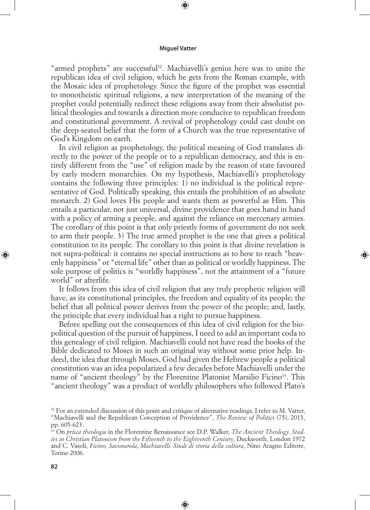⊕

"armed prophets" are successful<sup>32</sup>. Machiavelli's genius here was to unite the republican idea of civil religion, which he gets from the Roman example, with the Mosaic idea of prophetology. Since the figure of the prophet was essential to monotheistic spiritual religions, a new interpretation of the meaning of the prophet could potentially redirect these religions away from their absolutist political theologies and towards a direction more conducive to republican freedom and constitutional government. A revival of prophetology could cast doubt on the deep-seated belief that the form of a Church was the true representative of God's Kingdom on earth.

In civil religion as prophetology, the political meaning of God translates directly to the power of the people or to a republican democracy, and this is entirely different from the "use" of religion made by the reason of state favoured by early modern monarchies. On my hypothesis, Machiavelli's prophetology contains the following three principles: 1) no individual is the political representative of God. Politically speaking, this entails the prohibition of an absolute monarch. 2) God loves His people and wants them as powerful as Him. This entails a particular, not just universal, divine providence that goes hand in hand with a policy of arming a people, and against the reliance on mercenary armies. The corollary of this point is that only priestly forms of government do not seek to arm their people. 3) The true armed prophet is the one that gives a political constitution to its people. The corollary to this point is that divine revelation is not supra-political: it contains no special instructions as to how to reach "heavenly happiness" or "eternal life" other than as political or worldly happiness. The sole purpose of politics is "worldly happiness", not the attainment of a "future world" or afterlife.

◈

It follows from this idea of civil religion that any truly prophetic religion will have, as its constitutional principles, the freedom and equality of its people; the belief that all political power derives from the power of the people; and, lastly, the principle that every individual has a right to pursue happiness.

Before spelling out the consequences of this idea of civil religion for the biopolitical question of the pursuit of happiness, I need to add an important coda to this genealogy of civil religion. Machiavelli could not have read the books of the Bible dedicated to Moses in such an original way without some prior help. Indeed, the idea that through Moses, God had given the Hebrew people a political constitution was an idea popularized a few decades before Machiavelli under the name of "ancient theology" by the Florentine Platonist Marsilio Ficino<sup>33</sup>. This "ancient theology" was a product of worldly philosophers who followed Plato's

⊕

<sup>&</sup>lt;sup>32</sup> For an extended discussion of this point and critique of alternative readings, I refer to M. Vatter, "Machiavelli and the Republican Conception of Providence", *The Review of Politics* (75), 2013, pp. 605-623.

<sup>33</sup> On *prisca theologia* in the Florentine Renaissance see D.P. Walker, *The Ancient Theology. Studies in Christian Platonism from the Fifteenth to the Eighteenth Century*, Duckworth, London 1972 and C. Vasoli, *Ficino, Savonarola, Machiavelli. Studi di storia della cultura*, Nino Aragno Editore, Torino 2006.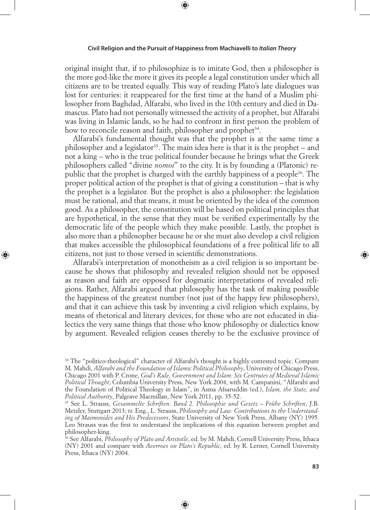⊕

original insight that, if to philosophize is to imitate God, then a philosopher is the more god-like the more it gives its people a legal constitution under which all citizens are to be treated equally. This way of reading Plato's late dialogues was lost for centuries: it reappeared for the first time at the hand of a Muslim philosopher from Baghdad, Alfarabi, who lived in the 10th century and died in Damascus. Plato had not personally witnessed the activity of a prophet, but Alfarabi was living in Islamic lands, so he had to confront in first person the problem of how to reconcile reason and faith, philosopher and prophet<sup>34</sup>.

Alfarabi's fundamental thought was that the prophet is at the same time a philosopher and a legislator<sup>35</sup>. The main idea here is that it is the prophet – and not a king – who is the true political founder because he brings what the Greek philosophers called "divine *nomoi*" to the city. It is by founding a (Platonic) republic that the prophet is charged with the earthly happiness of a people36. The proper political action of the prophet is that of giving a constitution – that is why the prophet is a legislator. But the prophet is also a philosopher: the legislation must be rational, and that means, it must be oriented by the idea of the common good. As a philosopher, the constitution will be based on political principles that are hypothetical, in the sense that they must be verified experimentally by the democratic life of the people which they make possible. Lastly, the prophet is also more than a philosopher because he or she must also develop a civil religion that makes accessible the philosophical foundations of a free political life to all citizens, not just to those versed in scientific demonstrations.

Alfarabi's interpretation of monotheism as a civil religion is so important because he shows that philosophy and revealed religion should not be opposed as reason and faith are opposed for dogmatic interpretations of revealed religions. Rather, Alfarabi argued that philosophy has the task of making possible the happiness of the greatest number (not just of the happy few philosophers), and that it can achieve this task by inventing a civil religion which explains, by means of rhetorical and literary devices, for those who are not educated in dialectics the very same things that those who know philosophy or dialectics know by argument. Revealed religion ceases thereby to be the exclusive province of

◈

⊕

<sup>&</sup>lt;sup>34</sup> The "politico-theological" character of Alfarabi's thought is a highly contested topic. Compare M. Mahdi, *Alfarabi and the Foundation of Islamic Political Philosophy*, University of Chicago Press, Chicago 2001 with P. Crone, *God's Rule, Government and Islam: Six Centruies of Medieval Islamic Political Thought*, Columbia University Press, New York 2004, with M. Campanini, "Alfarabi and the Foundation of Political Theology in Islam", in Asma Afsaruddin (ed.), *Islam, the State, and Political Authority*, Palgrave Macmillan, New York 2011, pp. 35-52. 35 See L. Strauss, *Gesammelte Schriften. Band 2. Philosophie und Gesetz – Frühe Schriften*, J.B.

Metzler, Stuttgart 2013; tr. Eng., L. Strauss, *Philosophy and Law. Contributions to the Understanding of Maimonides and His Predecessors*, State University of New York Press, Albany (NY) 1995. Leo Strauss was the first to understand the implications of this equation between prophet and philosopher-king.

<sup>36</sup> See Alfarabi, *Philosophy of Plato and Aristotle*, ed. by M. Mahdi, Cornell University Press, Ithaca (NY) 2001 and compare with *Averroes on Plato's Republic*, ed. by R. Lerner, Cornell University Press, Ithaca (NY) 2004.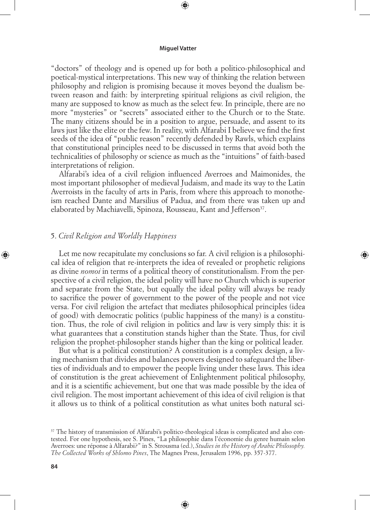⊕

"doctors" of theology and is opened up for both a politico-philosophical and poetical-mystical interpretations. This new way of thinking the relation between philosophy and religion is promising because it moves beyond the dualism between reason and faith: by interpreting spiritual religions as civil religion, the many are supposed to know as much as the select few. In principle, there are no more "mysteries" or "secrets" associated either to the Church or to the State. The many citizens should be in a position to argue, persuade, and assent to its laws just like the elite or the few. In reality, with Alfarabi I believe we find the first seeds of the idea of "public reason" recently defended by Rawls, which explains that constitutional principles need to be discussed in terms that avoid both the technicalities of philosophy or science as much as the "intuitions" of faith-based interpretations of religion.

Alfarabi's idea of a civil religion influenced Averroes and Maimonides, the most important philosopher of medieval Judaism, and made its way to the Latin Averroists in the faculty of arts in Paris, from where this approach to monotheism reached Dante and Marsilius of Padua, and from there was taken up and elaborated by Machiavelli, Spinoza, Rousseau, Kant and Jefferson<sup>37</sup>.

# 5. *Civil Religion and Worldly Happiness*

Let me now recapitulate my conclusions so far. A civil religion is a philosophical idea of religion that re-interprets the idea of revealed or prophetic religions as divine *nomoi* in terms of a political theory of constitutionalism. From the perspective of a civil religion, the ideal polity will have no Church which is superior and separate from the State, but equally the ideal polity will always be ready to sacrifice the power of government to the power of the people and not vice versa. For civil religion the artefact that mediates philosophical principles (idea of good) with democratic politics (public happiness of the many) is a constitution. Thus, the role of civil religion in politics and law is very simply this: it is what guarantees that a constitution stands higher than the State. Thus, for civil religion the prophet-philosopher stands higher than the king or political leader.

◈

But what is a political constitution? A constitution is a complex design, a living mechanism that divides and balances powers designed to safeguard the liberties of individuals and to empower the people living under these laws. This idea of constitution is the great achievement of Enlightenment political philosophy, and it is a scientific achievement, but one that was made possible by the idea of civil religion. The most important achievement of this idea of civil religion is that it allows us to think of a political constitution as what unites both natural sci-

⊕

<sup>&</sup>lt;sup>37</sup> The history of transmission of Alfarabi's politico-theological ideas is complicated and also contested. For one hypothesis, see S. Pines, "La philosophie dans l'économie du genre humain selon Averroes: une réponse à Alfarabi?" in S. Strousma (ed.), *Studies in the History of Arabic Philosophy. The Collected Works of Shlomo Pines*, The Magnes Press, Jerusalem 1996, pp. 357-377.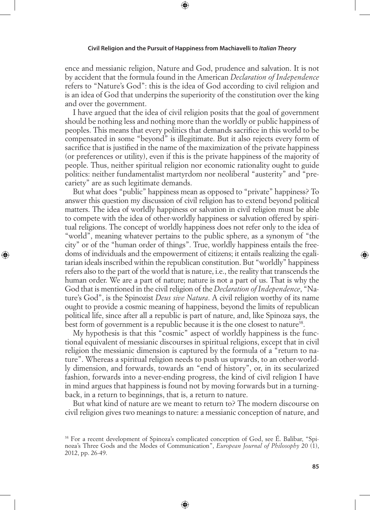⊕

ence and messianic religion, Nature and God, prudence and salvation. It is not by accident that the formula found in the American *Declaration of Independence* refers to "Nature's God": this is the idea of God according to civil religion and is an idea of God that underpins the superiority of the constitution over the king and over the government.

I have argued that the idea of civil religion posits that the goal of government should be nothing less and nothing more than the worldly or public happiness of peoples. This means that every politics that demands sacrifice in this world to be compensated in some "beyond" is illegitimate. But it also rejects every form of sacrifice that is justified in the name of the maximization of the private happiness (or preferences or utility), even if this is the private happiness of the majority of people. Thus, neither spiritual religion nor economic rationality ought to guide politics: neither fundamentalist martyrdom nor neoliberal "austerity" and "precariety" are as such legitimate demands.

But what does "public" happiness mean as opposed to "private" happiness? To answer this question my discussion of civil religion has to extend beyond political matters. The idea of worldly happiness or salvation in civil religion must be able to compete with the idea of other-worldly happiness or salvation offered by spiritual religions. The concept of worldly happiness does not refer only to the idea of "world", meaning whatever pertains to the public sphere, as a synonym of "the city" or of the "human order of things". True, worldly happiness entails the freedoms of individuals and the empowerment of citizens; it entails realizing the egalitarian ideals inscribed within the republican constitution. But "worldly" happiness refers also to the part of the world that is nature, i.e., the reality that transcends the human order. We are a part of nature; nature is not a part of us. That is why the God that is mentioned in the civil religion of the *Declaration of Independence*, "Nature's God", is the Spinozist *Deus sive Natura*. A civil religion worthy of its name ought to provide a cosmic meaning of happiness, beyond the limits of republican political life, since after all a republic is part of nature, and, like Spinoza says, the best form of government is a republic because it is the one closest to nature<sup>38</sup>.

◈

My hypothesis is that this "cosmic" aspect of worldly happiness is the functional equivalent of messianic discourses in spiritual religions, except that in civil religion the messianic dimension is captured by the formula of a "return to nature". Whereas a spiritual religion needs to push us upwards, to an other-worldly dimension, and forwards, towards an "end of history", or, in its secularized fashion, forwards into a never-ending progress, the kind of civil religion I have in mind argues that happiness is found not by moving forwards but in a turningback, in a return to beginnings, that is, a return to nature.

But what kind of nature are we meant to return to? The modern discourse on civil religion gives two meanings to nature: a messianic conception of nature, and

⊕

<sup>38</sup> For a recent development of Spinoza's complicated conception of God, see É. Balibar, "Spinoza's Three Gods and the Modes of Communication", *European Journal of Philosophy* 20 (1), 2012, pp. 26-49.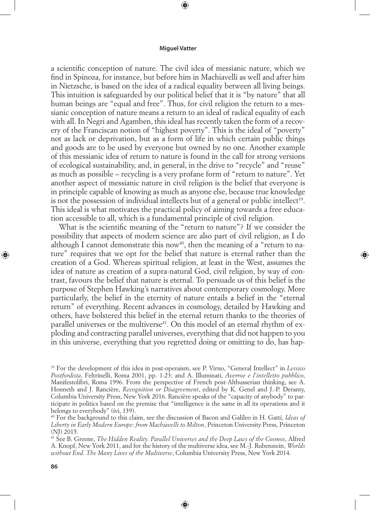⊕

a scientific conception of nature. The civil idea of messianic nature, which we find in Spinoza, for instance, but before him in Machiavelli as well and after him in Nietzsche, is based on the idea of a radical equality between all living beings. This intuition is safeguarded by our political belief that it is "by nature" that all human beings are "equal and free". Thus, for civil religion the return to a messianic conception of nature means a return to an ideal of radical equality of each with all. In Negri and Agamben, this ideal has recently taken the form of a recovery of the Franciscan notion of "highest poverty". This is the ideal of "poverty" not as lack or deprivation, but as a form of life in which certain public things and goods are to be used by everyone but owned by no one. Another example of this messianic idea of return to nature is found in the call for strong versions of ecological sustainability, and, in general, in the drive to "recycle" and "reuse" as much as possible – recycling is a very profane form of "return to nature". Yet another aspect of messianic nature in civil religion is the belief that everyone is in principle capable of knowing as much as anyone else, because true knowledge is not the possession of individual intellects but of a general or public intellect<sup>39</sup>. This ideal is what motivates the practical policy of aiming towards a free education accessible to all, which is a fundamental principle of civil religion.

What is the scientific meaning of the "return to nature"? If we consider the possibility that aspects of modern science are also part of civil religion, as I do although I cannot demonstrate this now<sup>40</sup>, then the meaning of a "return to nature" requires that we opt for the belief that nature is eternal rather than the creation of a God. Whereas spiritual religion, at least in the West, assumes the idea of nature as creation of a supra-natural God, civil religion, by way of contrast, favours the belief that nature is eternal. To persuade us of this belief is the purpose of Stephen Hawking's narratives about contemporary cosmology. More particularly, the belief in the eternity of nature entails a belief in the "eternal return" of everything. Recent advances in cosmology, detailed by Hawking and others, have bolstered this belief in the eternal return thanks to the theories of parallel universes or the multiverse<sup>41</sup>. On this model of an eternal rhythm of exploding and contracting parallel universes, everything that did not happen to you in this universe, everything that you regretted doing or omitting to do, has hap-

◈

⊕

<sup>39</sup> For the development of this idea in post-operaism, see P. Virno, "General Intellect" in *Lessico Postfordista*, Feltrinelli, Roma 2001, pp. 1-23; and A. Illuminati, *Averroe e l'intelletto pubblico*, Manifestolibri, Roma 1996. From the perspective of French post-Althusserian thinking, see A. Honneth and J. Rancière, *Recognition or Disagreement*, edited by K. Genel and J.-P. Deranty, Columbia University Press, New York 2016. Rancière speaks of the "capacity of anybody" to participate in politics based on the premise that "intelligence is the same in all its operations and it belongs to everybody" (ivi, 139).

<sup>40</sup> For the background to this claim, see the discussion of Bacon and Galileo in H. Gatti, *Ideas of Liberty in Early Modern Europe: from Machiavelli to Milton*, Princeton University Press, Princeton (NJ) 2015.

<sup>41</sup> See B. Greene, *The Hidden Reality. Parallel Universes and the Deep Laws of the Cosmos*, Alfred A. Knopf, New York 2011, and for the history of the multiverse idea, see M.-J. Rubenstein, *Worlds without End. The Many Lives of the Multiverse*, Columbia University Press, New York 2014.